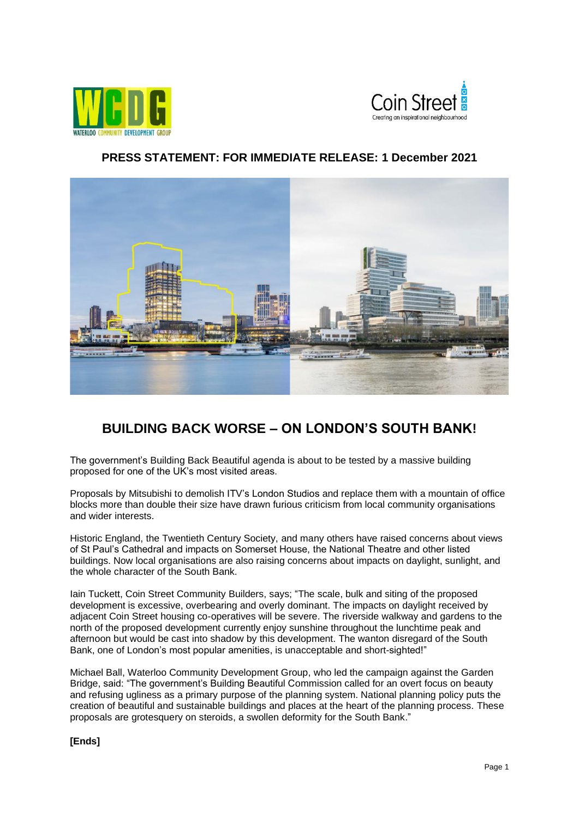



## **PRESS STATEMENT: FOR IMMEDIATE RELEASE: 1 December 2021**



## **BUILDING BACK WORSE – ON LONDON'S SOUTH BANK!**

The government's Building Back Beautiful agenda is about to be tested by a massive building proposed for one of the UK's most visited areas.

Proposals by Mitsubishi to demolish ITV's London Studios and replace them with a mountain of office blocks more than double their size have drawn furious criticism from local community organisations and wider interests.

Historic England, the Twentieth Century Society, and many others have raised concerns about views of St Paul's Cathedral and impacts on Somerset House, the National Theatre and other listed buildings. Now local organisations are also raising concerns about impacts on daylight, sunlight, and the whole character of the South Bank.

Iain Tuckett, Coin Street Community Builders, says; "The scale, bulk and siting of the proposed development is excessive, overbearing and overly dominant. The impacts on daylight received by adjacent Coin Street housing co-operatives will be severe. The riverside walkway and gardens to the north of the proposed development currently enjoy sunshine throughout the lunchtime peak and afternoon but would be cast into shadow by this development. The wanton disregard of the South Bank, one of London's most popular amenities, is unacceptable and short-sighted!"

Michael Ball, Waterloo Community Development Group, who led the campaign against the Garden Bridge, said: "The government's Building Beautiful Commission called for an overt focus on beauty and refusing ugliness as a primary purpose of the planning system. National planning policy puts the creation of beautiful and sustainable buildings and places at the heart of the planning process. These proposals are grotesquery on steroids, a swollen deformity for the South Bank."

**[Ends]**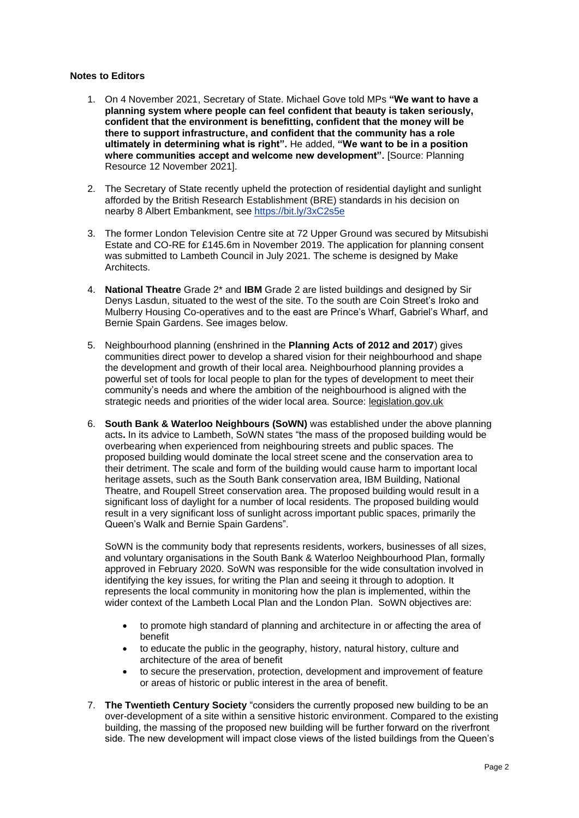## **Notes to Editors**

- 1. On 4 November 2021, Secretary of State. Michael Gove told MPs **"We want to have a planning system where people can feel confident that beauty is taken seriously, confident that the environment is benefitting, confident that the money will be there to support infrastructure, and confident that the community has a role ultimately in determining what is right".** He added, **"We want to be in a position where communities accept and welcome new development".** [Source: Planning Resource 12 November 2021].
- 2. The Secretary of State recently upheld the protection of residential daylight and sunlight afforded by the British Research Establishment (BRE) standards in his decision on nearby 8 Albert Embankment, see [https://bit.ly/3xC2s5e](https://eur03.safelinks.protection.outlook.com/?url=https%3A%2F%2Fbit.ly%2F3xC2s5e&data=04%7C01%7CK.Winestein%40coinstreet.org%7C310ef133e73f49a35b1108d9b3e69eff%7Cb6bb9e20794f4eddad87163da2d683c0%7C0%7C1%7C637738625654202261%7CUnknown%7CTWFpbGZsb3d8eyJWIjoiMC4wLjAwMDAiLCJQIjoiV2luMzIiLCJBTiI6Ik1haWwiLCJXVCI6Mn0%3D%7C2000&sdata=MZq9YF0VC%2B684oIjJ%2FPtjAoKACGjGjKVWMKa5Z38hYo%3D&reserved=0)
- 3. The former London Television Centre site at 72 Upper Ground was secured by Mitsubishi Estate and CO-RE for £145.6m in November 2019. The application for planning consent was submitted to Lambeth Council in July 2021. The scheme is designed by Make Architects.
- 4. **National Theatre** Grade 2\* and **IBM** Grade 2 are listed buildings and designed by Sir Denys Lasdun, situated to the west of the site. To the south are Coin Street's Iroko and Mulberry Housing Co-operatives and to the east are Prince's Wharf, Gabriel's Wharf, and Bernie Spain Gardens. See images below.
- 5. Neighbourhood planning (enshrined in the **Planning Acts of 2012 and 2017**) gives communities direct power to develop a shared vision for their neighbourhood and shape the development and growth of their local area. Neighbourhood planning provides a powerful set of tools for local people to plan for the types of development to meet their community's needs and where the ambition of the neighbourhood is aligned with the strategic needs and priorities of the wider local area. Source: [legislation.gov.uk](https://www.legislation.gov.uk/ukpga/2017/20/contents/enacted)
- 6. **South Bank & Waterloo Neighbours (SoWN)** was established under the above planning acts**.** In its advice to Lambeth, SoWN states "the mass of the proposed building would be overbearing when experienced from neighbouring streets and public spaces. The proposed building would dominate the local street scene and the conservation area to their detriment. The scale and form of the building would cause harm to important local heritage assets, such as the South Bank conservation area, IBM Building, National Theatre, and Roupell Street conservation area. The proposed building would result in a significant loss of daylight for a number of local residents. The proposed building would result in a very significant loss of sunlight across important public spaces, primarily the Queen's Walk and Bernie Spain Gardens".

SoWN is the community body that represents residents, workers, businesses of all sizes, and voluntary organisations in the South Bank & Waterloo Neighbourhood Plan, formally approved in February 2020. SoWN was responsible for the wide consultation involved in identifying the key issues, for writing the Plan and seeing it through to adoption. It represents the local community in monitoring how the plan is implemented, within the wider context of the Lambeth Local Plan and the London Plan. SoWN objectives are:

- to promote high standard of planning and architecture in or affecting the area of benefit
- to educate the public in the geography, history, natural history, culture and architecture of the area of benefit
- to secure the preservation, protection, development and improvement of feature or areas of historic or public interest in the area of benefit.
- 7. **The Twentieth Century Society** "considers the currently proposed new building to be an over-development of a site within a sensitive historic environment. Compared to the existing building, the massing of the proposed new building will be further forward on the riverfront side. The new development will impact close views of the listed buildings from the Queen's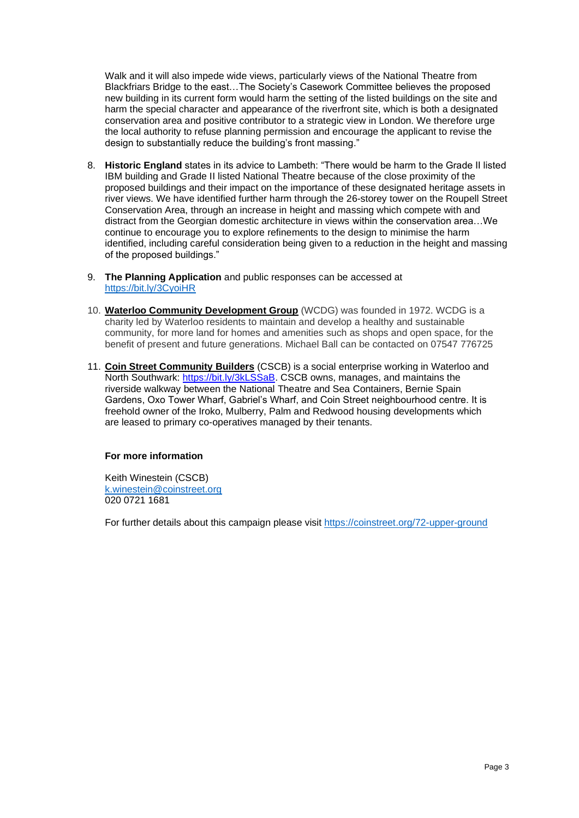Walk and it will also impede wide views, particularly views of the National Theatre from Blackfriars Bridge to the east…The Society's Casework Committee believes the proposed new building in its current form would harm the setting of the listed buildings on the site and harm the special character and appearance of the riverfront site, which is both a designated conservation area and positive contributor to a strategic view in London. We therefore urge the local authority to refuse planning permission and encourage the applicant to revise the design to substantially reduce the building's front massing."

- 8. **Historic England** states in its advice to Lambeth: "There would be harm to the Grade II listed IBM building and Grade II listed National Theatre because of the close proximity of the proposed buildings and their impact on the importance of these designated heritage assets in river views. We have identified further harm through the 26-storey tower on the Roupell Street Conservation Area, through an increase in height and massing which compete with and distract from the Georgian domestic architecture in views within the conservation area…We continue to encourage you to explore refinements to the design to minimise the harm identified, including careful consideration being given to a reduction in the height and massing of the proposed buildings."
- 9. **The Planning Application** and public responses can be accessed at <https://bit.ly/3CyoiHR>
- 10. **[Waterloo Community Development Group](http://wcdg.org.uk/)** (WCDG) was founded in 1972. WCDG is a charity led by Waterloo residents to maintain and develop a healthy and sustainable community, for more land for homes and amenities such as shops and open space, for the benefit of present and future generations. Michael Ball can be contacted on 07547 776725
- 11. **[Coin Street Community Builders](https://coinstreet.org/72-upper-ground)** (CSCB) is a social enterprise working in Waterloo and North Southwark: [https://bit.ly/3kLSSaB.](https://eur03.safelinks.protection.outlook.com/?url=https%3A%2F%2Fbit.ly%2F3kLSSaB&data=04%7C01%7CK.Winestein%40coinstreet.org%7C30162444ad964466ff3908d9a9ed0921%7Cb6bb9e20794f4eddad87163da2d683c0%7C0%7C0%7C637727657783944088%7CUnknown%7CTWFpbGZsb3d8eyJWIjoiMC4wLjAwMDAiLCJQIjoiV2luMzIiLCJBTiI6Ik1haWwiLCJXVCI6Mn0%3D%7C3000&sdata=C2FNxl%2B3BKnmNxwpbMhI0kXsT6djfdnj3IXloZV2fgk%3D&reserved=0) CSCB owns, manages, and maintains the riverside walkway between the National Theatre and Sea Containers, Bernie Spain Gardens, Oxo Tower Wharf, Gabriel's Wharf, and Coin Street neighbourhood centre. It is freehold owner of the Iroko, Mulberry, Palm and Redwood housing developments which are leased to primary co-operatives managed by their tenants.

## **For more information**

Keith Winestein (CSCB) [k.winestein@coinstreet.org](mailto:k.winestein@coinstreet.org) 020 0721 1681

For further details about this campaign please visit https://coinstreet.org/72-upper-ground